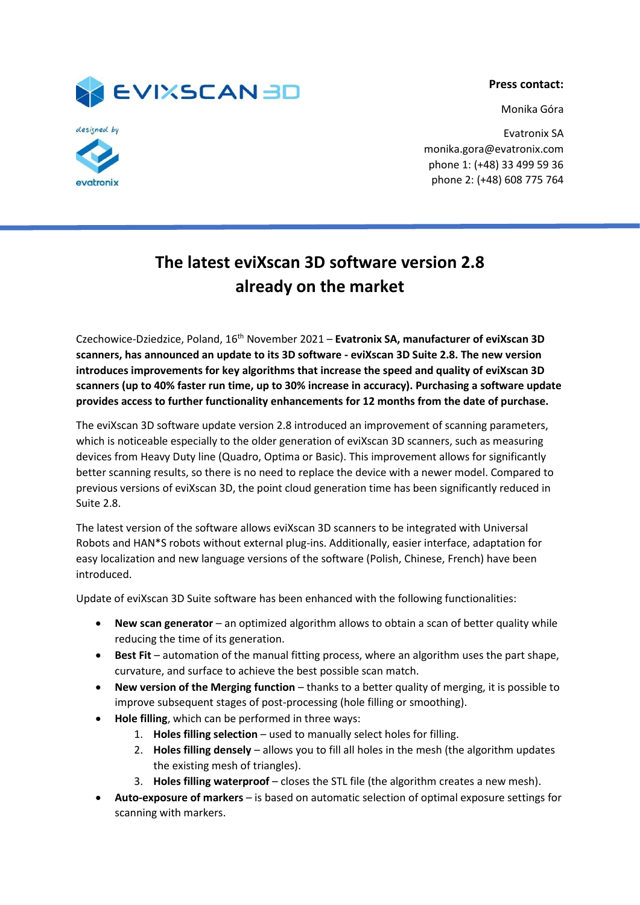

**Press contact:**

Monika Góra

evatronix

Evatronix SA monika.gora@evatronix.com phone 1: (+48) 33 499 59 36 phone 2: (+48) 608 775 764

## **The latest eviXscan 3D software version 2.8 already on the market**

Czechowice-Dziedzice, Poland, 16th November 2021 – **Evatronix SA, manufacturer of eviXscan 3D scanners, has announced an update to its 3D software - eviXscan 3D Suite 2.8. The new version**  introduces improvements for key algorithms that increase the speed and quality of eviXscan 3D **scanners (up to 40% faster run time, up to 30% increase in accuracy). Purchasing a software update provides access to further functionality enhancements for 12 months from the date of purchase.** 

The eviXscan 3D software update version 2.8 introduced an improvement of scanning parameters, which is noticeable especially to the older generation of eviXscan 3D scanners, such as measuring devices from Heavy Duty line (Quadro, Optima or Basic). This improvement allows for significantly better scanning results, so there is no need to replace the device with a newer model. Compared to previous versions of eviXscan 3D, the point cloud generation time has been significantly reduced in Suite 2.8.

The latest version of the software allows eviXscan 3D scanners to be integrated with Universal Robots and HAN\*S robots without external plug-ins. Additionally, easier interface, adaptation for easy localization and new language versions of the software (Polish, Chinese, French) have been introduced.

Update of eviXscan 3D Suite software has been enhanced with the following functionalities:

- **New scan generator** an optimized algorithm allows to obtain a scan of better quality while reducing the time of its generation.
- **Best Fit** automation of the manual fitting process, where an algorithm uses the part shape, curvature, and surface to achieve the best possible scan match.
- **New version of the Merging function** thanks to a better quality of merging, it is possible to improve subsequent stages of post-processing (hole filling or smoothing).
- **Hole filling**, which can be performed in three ways:
	- 1. **Holes filling selection** used to manually select holes for filling.
	- 2. **Holes filling densely** allows you to fill all holes in the mesh (the algorithm updates the existing mesh of triangles).
	- 3. **Holes filling waterproof** closes the STL file (the algorithm creates a new mesh).
- **Auto-exposure of markers** is based on automatic selection of optimal exposure settings for scanning with markers.